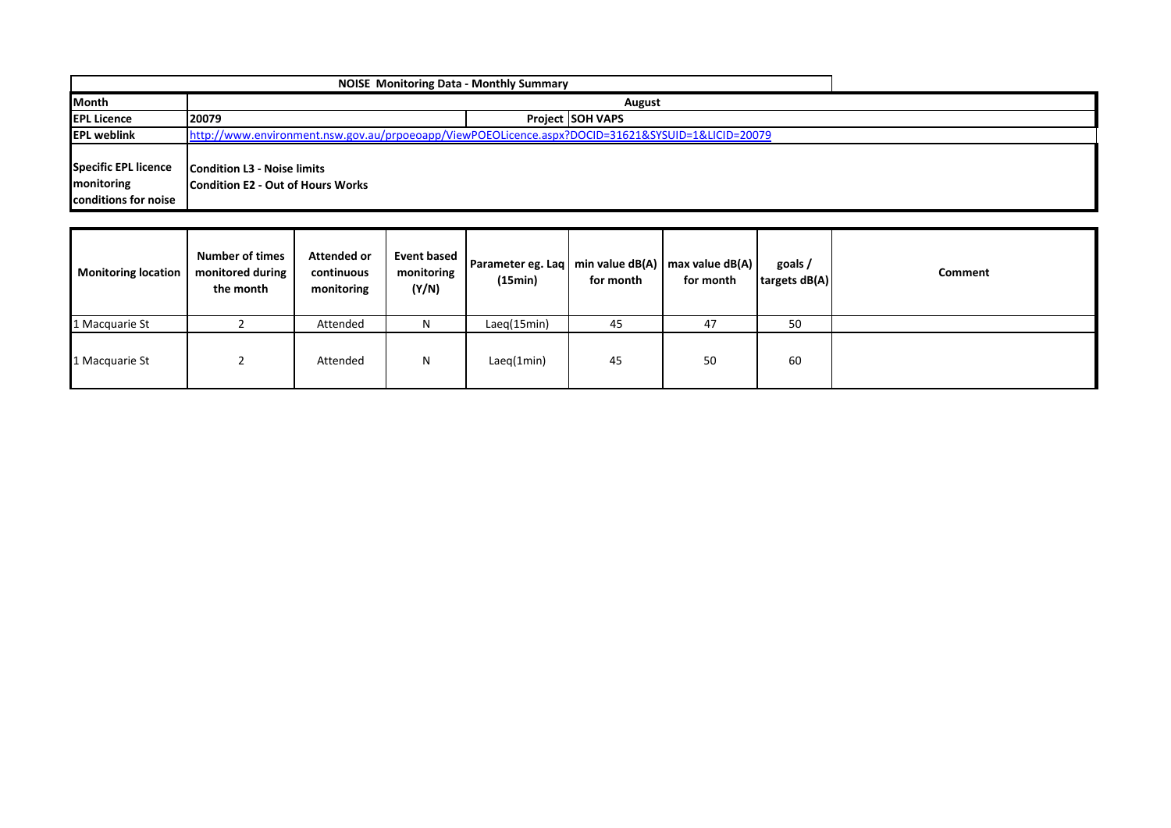|                      | <b>NOISE Monitoring Data - Monthly Summary</b>                                                    |                         |  |  |  |  |  |
|----------------------|---------------------------------------------------------------------------------------------------|-------------------------|--|--|--|--|--|
| <b>Month</b>         |                                                                                                   |                         |  |  |  |  |  |
| <b>EPL Licence</b>   | 120079                                                                                            | <b>Project SOH VAPS</b> |  |  |  |  |  |
| <b>IEPL weblink</b>  | http://www.environment.nsw.gov.au/prpoeoapp/ViewPOEOLicence.aspx?DOCID=31621&SYSUID=1&LICID=20079 |                         |  |  |  |  |  |
|                      |                                                                                                   |                         |  |  |  |  |  |
| Specific EPL licence | <b>Condition L3 - Noise limits</b>                                                                |                         |  |  |  |  |  |
| monitoring           | Condition E2 - Out of Hours Works                                                                 |                         |  |  |  |  |  |
| conditions for noise |                                                                                                   |                         |  |  |  |  |  |

| <b>Monitoring location</b> | <b>Number of times</b><br>monitored during<br>the month | <b>Attended or</b><br>continuous<br>monitoring | Event based<br>monitoring<br>(Y/N) | Parameter eg. Laq   min value dB(A)   max value dB(A)  <br>(15min) | for month | for month | goals/<br>targets dB(A) | <b>Comment</b> |
|----------------------------|---------------------------------------------------------|------------------------------------------------|------------------------------------|--------------------------------------------------------------------|-----------|-----------|-------------------------|----------------|
| 1 Macquarie St             |                                                         | Attended                                       | N                                  | Laeg(15min)                                                        | 45        | 47        | 50                      |                |
| 1 Macquarie St             |                                                         | Attended                                       | N                                  | Laeq(1min)                                                         | 45        | 50        | 60                      |                |